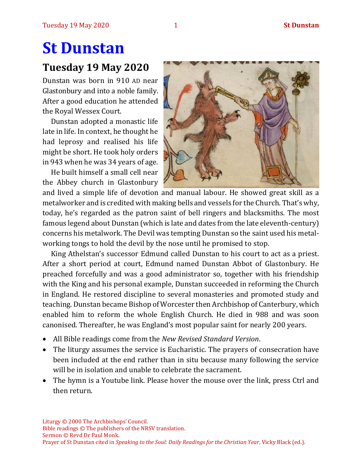# **St Dunstan**

## **Tuesday 19 May 2020**

Dunstan was born in 910 AD near Glastonbury and into a noble family. After a good education he attended the Royal Wessex Court.

Dunstan adopted a monastic life late in life. In context, he thought he had leprosy and realised his life might be short. He took holy orders in 943 when he was 34 years of age.

He built himself a small cell near the Abbey church in Glastonbury



and lived a simple life of devotion and manual labour. He showed great skill as a metalworker and is credited with making bells and vessels for the Church. That's why, today, he's regarded as the patron saint of bell ringers and blacksmiths. The most famous legend about Dunstan (which is late and dates from the late eleventh-century) concerns his metalwork. The Devil was tempting Dunstan so the saint used his metalworking tongs to hold the devil by the nose until he promised to stop.

King Athelstan's successor Edmund called Dunstan to his court to act as a priest. After a short period at court, Edmund named Dunstan Abbot of Glastonbury. He preached forcefully and was a good administrator so, together with his friendship with the King and his personal example, Dunstan succeeded in reforming the Church in England. He restored discipline to several monasteries and promoted study and teaching. Dunstan became Bishop of Worcester then Archbishop of Canterbury, which enabled him to reform the whole English Church. He died in 988 and was soon canonised. Thereafter, he was England's most popular saint for nearly 200 years.

- All Bible readings come from the *New Revised Standard Version*.
- The liturgy assumes the service is Eucharistic. The prayers of consecration have been included at the end rather than in situ because many following the service will be in isolation and unable to celebrate the sacrament.
- The hymn is a Youtube link. Please hover the mouse over the link, press Ctrl and then return.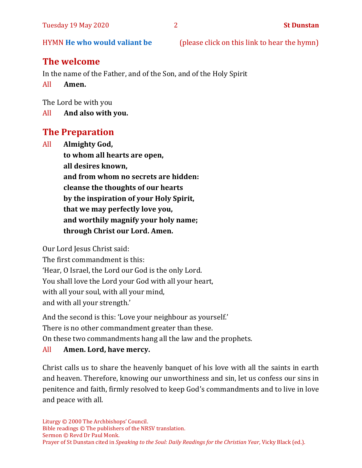HYMN **[He who would valiant be](https://www.youtube.com/watch?v=EiSxSZ0s0AQ)** (please click on this link to hear the hymn)

## **The welcome**

In the name of the Father, and of the Son, and of the Holy Spirit

All **Amen.**

The Lord be with you

All **And also with you.**

## **The Preparation**

All **Almighty God, to whom all hearts are open, all desires known, and from whom no secrets are hidden: cleanse the thoughts of our hearts by the inspiration of your Holy Spirit, that we may perfectly love you, and worthily magnify your holy name; through Christ our Lord. Amen.**

Our Lord Jesus Christ said:

The first commandment is this: 'Hear, O Israel, the Lord our God is the only Lord. You shall love the Lord your God with all your heart, with all your soul, with all your mind, and with all your strength.'

And the second is this: 'Love your neighbour as yourself.'

There is no other commandment greater than these.

On these two commandments hang all the law and the prophets.

#### All **Amen. Lord, have mercy.**

Christ calls us to share the heavenly banquet of his love with all the saints in earth and heaven. Therefore, knowing our unworthiness and sin, let us confess our sins in penitence and faith, firmly resolved to keep God's commandments and to live in love and peace with all.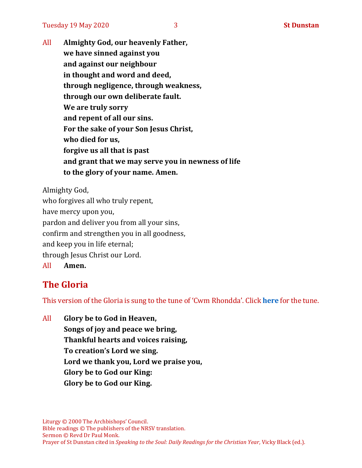All **Almighty God, our heavenly Father, we have sinned against you and against our neighbour in thought and word and deed, through negligence, through weakness, through our own deliberate fault. We are truly sorry and repent of all our sins. For the sake of your Son Jesus Christ, who died for us, forgive us all that is past and grant that we may serve you in newness of life to the glory of your name. Amen.**

Almighty God, who forgives all who truly repent, have mercy upon you, pardon and deliver you from all your sins, confirm and strengthen you in all goodness, and keep you in life eternal; through Jesus Christ our Lord. All **Amen.**

## **The Gloria**

This version of the Gloria is sung to the tune of 'Cwm Rhondda'. Click **[here](https://www.youtube.com/watch?v=BtGhnEwY74E)** for the tune.

All **Glory be to God in Heaven, Songs of joy and peace we bring, Thankful hearts and voices raising, To creation's Lord we sing. Lord we thank you, Lord we praise you, Glory be to God our King: Glory be to God our King.**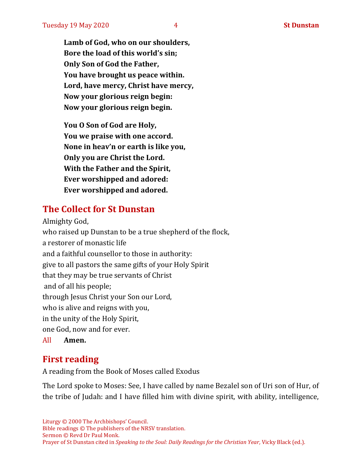**Lamb of God, who on our shoulders, Bore the load of this world's sin; Only Son of God the Father, You have brought us peace within. Lord, have mercy, Christ have mercy, Now your glorious reign begin: Now your glorious reign begin.**

**You O Son of God are Holy, You we praise with one accord. None in heav'n or earth is like you, Only you are Christ the Lord. With the Father and the Spirit, Ever worshipped and adored: Ever worshipped and adored.**

## **The Collect for St Dunstan**

Almighty God, who raised up Dunstan to be a true shepherd of the flock, a restorer of monastic life and a faithful counsellor to those in authority: give to all pastors the same gifts of your Holy Spirit that they may be true servants of Christ and of all his people; through Jesus Christ your Son our Lord, who is alive and reigns with you, in the unity of the Holy Spirit, one God, now and for ever. All **Amen.**

## **First reading**

A reading from the Book of Moses called Exodus

The Lord spoke to Moses: See, I have called by name Bezalel son of Uri son of Hur, of the tribe of Judah: and I have filled him with divine spirit, with ability, intelligence,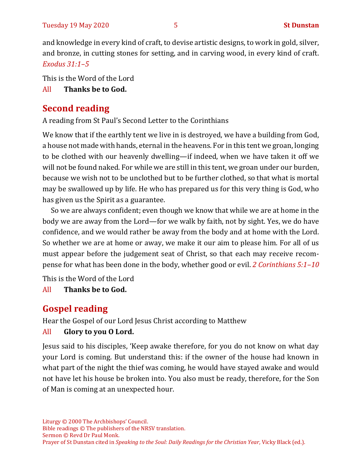and knowledge in every kind of craft, to devise artistic designs, to work in gold, silver, and bronze, in cutting stones for setting, and in carving wood, in every kind of craft. *Exodus 31:1–5*

This is the Word of the Lord

All **Thanks be to God.**

## **Second reading**

A reading from St Paul's Second Letter to the Corinthians

We know that if the earthly tent we live in is destroyed, we have a building from God, a house not made with hands, eternal in the heavens. For in this tent we groan, longing to be clothed with our heavenly dwelling—if indeed, when we have taken it off we will not be found naked. For while we are still in this tent, we groan under our burden, because we wish not to be unclothed but to be further clothed, so that what is mortal may be swallowed up by life. He who has prepared us for this very thing is God, who has given us the Spirit as a guarantee.

So we are always confident; even though we know that while we are at home in the body we are away from the Lord—for we walk by faith, not by sight. Yes, we do have confidence, and we would rather be away from the body and at home with the Lord. So whether we are at home or away, we make it our aim to please him. For all of us must appear before the judgement seat of Christ, so that each may receive recompense for what has been done in the body, whether good or evil. *2 Corinthians 5:1–10*

This is the Word of the Lord

All **Thanks be to God.**

## **Gospel reading**

Hear the Gospel of our Lord Jesus Christ according to Matthew

#### All **Glory to you O Lord.**

Jesus said to his disciples, 'Keep awake therefore, for you do not know on what day your Lord is coming. But understand this: if the owner of the house had known in what part of the night the thief was coming, he would have stayed awake and would not have let his house be broken into. You also must be ready, therefore, for the Son of Man is coming at an unexpected hour.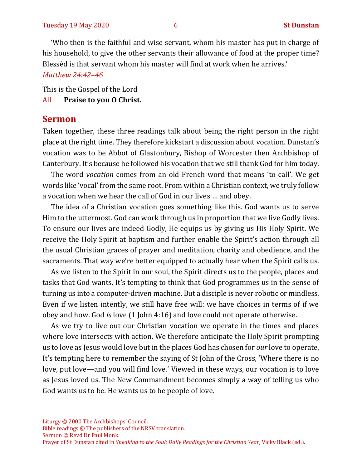'Who then is the faithful and wise servant, whom his master has put in charge of his household, to give the other servants their allowance of food at the proper time? Blessèd is that servant whom his master will find at work when he arrives.'

#### *Matthew 24:42–46*

This is the Gospel of the Lord

#### All **Praise to you O Christ.**

#### **Sermon**

Taken together, these three readings talk about being the right person in the right place at the right time. They therefore kickstart a discussion about vocation. Dunstan's vocation was to be Abbot of Glastonbury, Bishop of Worcester then Archbishop of Canterbury. It's because he followed his vocation that we still thank God for him today.

The word *vocation* comes from an old French word that means 'to call'. We get words like 'vocal' from the same root. From within a Christian context, we truly follow a vocation when we hear the call of God in our lives … and obey.

The idea of a Christian vocation goes something like this. God wants us to serve Him to the uttermost. God can work through us in proportion that we live Godly lives. To ensure our lives are indeed Godly, He equips us by giving us His Holy Spirit. We receive the Holy Spirit at baptism and further enable the Spirit's action through all the usual Christian graces of prayer and meditation, charity and obedience, and the sacraments. That way we're better equipped to actually hear when the Spirit calls us.

As we listen to the Spirit in our soul, the Spirit directs us to the people, places and tasks that God wants. It's tempting to think that God programmes us in the sense of turning us into a computer-driven machine. But a disciple is never robotic or mindless. Even if we listen intently, we still have free will: we have choices in terms of if we obey and how. God *is* love (1 John 4:16) and love could not operate otherwise.

As we try to live out our Christian vocation we operate in the times and places where love intersects with action. We therefore anticipate the Holy Spirit prompting us to love as Jesus would love but in the places God has chosen for *our* love to operate. It's tempting here to remember the saying of St John of the Cross, 'Where there is no love, put love—and you will find love.' Viewed in these ways, our vocation is to love as Jesus loved us. The New Commandment becomes simply a way of telling us who God wants us to be. He wants us to be people of love.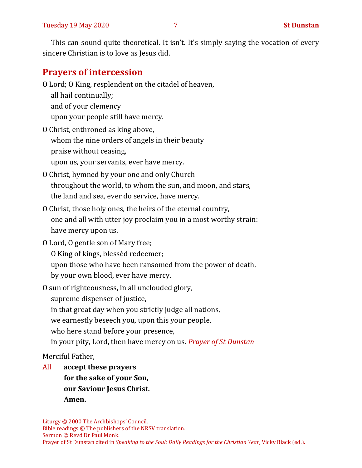This can sound quite theoretical. It isn't. It's simply saying the vocation of every sincere Christian is to love as Jesus did.

## **Prayers of intercession**

- O Lord; O King, resplendent on the citadel of heaven, all hail continually; and of your clemency upon your people still have mercy.
- O Christ, enthroned as king above, whom the nine orders of angels in their beauty praise without ceasing, upon us, your servants, ever have mercy.
- O Christ, hymned by your one and only Church throughout the world, to whom the sun, and moon, and stars, the land and sea, ever do service, have mercy.
- O Christ, those holy ones, the heirs of the eternal country, one and all with utter joy proclaim you in a most worthy strain: have mercy upon us.
- O Lord, O gentle son of Mary free; O King of kings, blessèd redeemer; upon those who have been ransomed from the power of death, by your own blood, ever have mercy.

O sun of righteousness, in all unclouded glory, supreme dispenser of justice, in that great day when you strictly judge all nations, we earnestly beseech you, upon this your people, who here stand before your presence, in your pity, Lord, then have mercy on us. *Prayer of St Dunstan*

Merciful Father,

All **accept these prayers for the sake of your Son, our Saviour Jesus Christ. Amen.**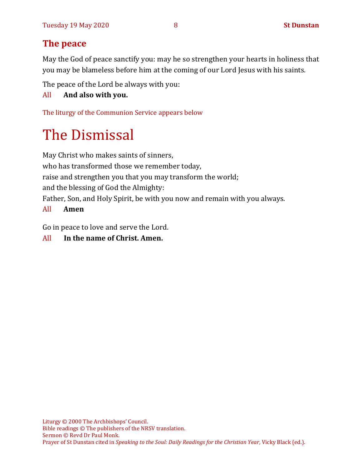## **The peace**

May the God of peace sanctify you: may he so strengthen your hearts in holiness that you may be blameless before him at the coming of our Lord Jesus with his saints.

The peace of the Lord be always with you:

#### All **And also with you.**

The liturgy of the Communion Service appears below

## The Dismissal

May Christ who makes saints of sinners, who has transformed those we remember today, raise and strengthen you that you may transform the world; and the blessing of God the Almighty: Father, Son, and Holy Spirit, be with you now and remain with you always.

#### All **Amen**

Go in peace to love and serve the Lord.

#### All **In the name of Christ. Amen.**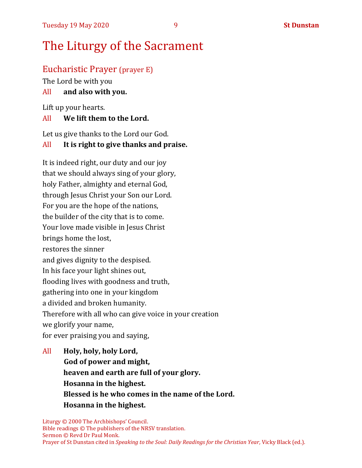## The Liturgy of the Sacrament

## Eucharistic Prayer (prayer E)

The Lord be with you

#### All **and also with you.**

Lift up your hearts.

#### All **We lift them to the Lord.**

Let us give thanks to the Lord our God.

#### All **It is right to give thanks and praise.**

It is indeed right, our duty and our joy that we should always sing of your glory, holy Father, almighty and eternal God, through Jesus Christ your Son our Lord. For you are the hope of the nations, the builder of the city that is to come. Your love made visible in Jesus Christ brings home the lost, restores the sinner and gives dignity to the despised. In his face your light shines out, flooding lives with goodness and truth, gathering into one in your kingdom a divided and broken humanity. Therefore with all who can give voice in your creation we glorify your name, for ever praising you and saying,

All **Holy, holy, holy Lord, God of power and might, heaven and earth are full of your glory. Hosanna in the highest. Blessed is he who comes in the name of the Lord. Hosanna in the highest.**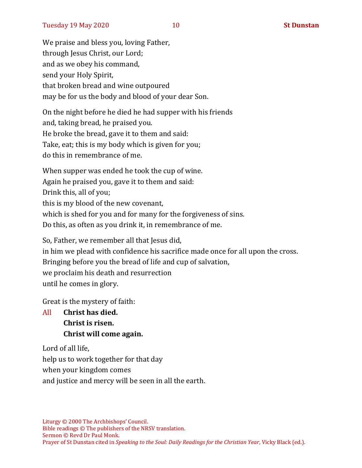We praise and bless you, loving Father, through Jesus Christ, our Lord; and as we obey his command, send your Holy Spirit, that broken bread and wine outpoured may be for us the body and blood of your dear Son.

On the night before he died he had supper with his friends and, taking bread, he praised you. He broke the bread, gave it to them and said: Take, eat; this is my body which is given for you; do this in remembrance of me.

When supper was ended he took the cup of wine. Again he praised you, gave it to them and said: Drink this, all of you; this is my blood of the new covenant, which is shed for you and for many for the forgiveness of sins. Do this, as often as you drink it, in remembrance of me.

So, Father, we remember all that Jesus did, in him we plead with confidence his sacrifice made once for all upon the cross. Bringing before you the bread of life and cup of salvation, we proclaim his death and resurrection until he comes in glory.

Great is the mystery of faith:

All **Christ has died. Christ is risen. Christ will come again.**

Lord of all life, help us to work together for that day when your kingdom comes and justice and mercy will be seen in all the earth.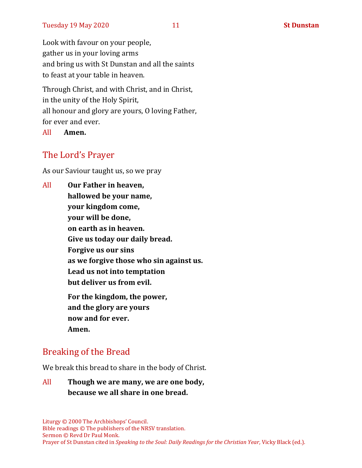Look with favour on your people, gather us in your loving arms and bring us with St Dunstan and all the saints to feast at your table in heaven.

Through Christ, and with Christ, and in Christ, in the unity of the Holy Spirit, all honour and glory are yours, O loving Father, for ever and ever.

All **Amen.**

## The Lord's Prayer

As our Saviour taught us, so we pray

All **Our Father in heaven, hallowed be your name, your kingdom come, your will be done, on earth as in heaven. Give us today our daily bread. Forgive us our sins as we forgive those who sin against us. Lead us not into temptation but deliver us from evil. For the kingdom, the power, and the glory are yours now and for ever. Amen.**

## Breaking of the Bread

We break this bread to share in the body of Christ.

All **Though we are many, we are one body, because we all share in one bread.**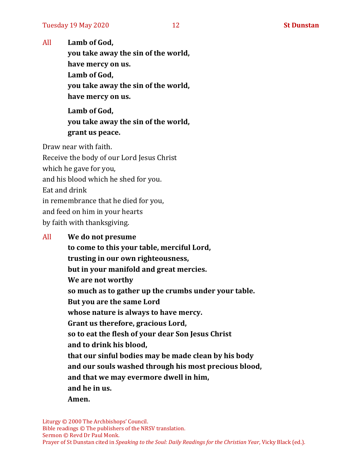All **Lamb of God,**

**you take away the sin of the world, have mercy on us. Lamb of God, you take away the sin of the world, have mercy on us.**

**Lamb of God, you take away the sin of the world, grant us peace.**

Draw near with faith.

Receive the body of our Lord Jesus Christ which he gave for you, and his blood which he shed for you. Eat and drink in remembrance that he died for you, and feed on him in your hearts by faith with thanksgiving.

#### All **We do not presume**

**to come to this your table, merciful Lord, trusting in our own righteousness, but in your manifold and great mercies. We are not worthy so much as to gather up the crumbs under your table. But you are the same Lord whose nature is always to have mercy. Grant us therefore, gracious Lord, so to eat the flesh of your dear Son Jesus Christ and to drink his blood, that our sinful bodies may be made clean by his body and our souls washed through his most precious blood, and that we may evermore dwell in him, and he in us. Amen.**